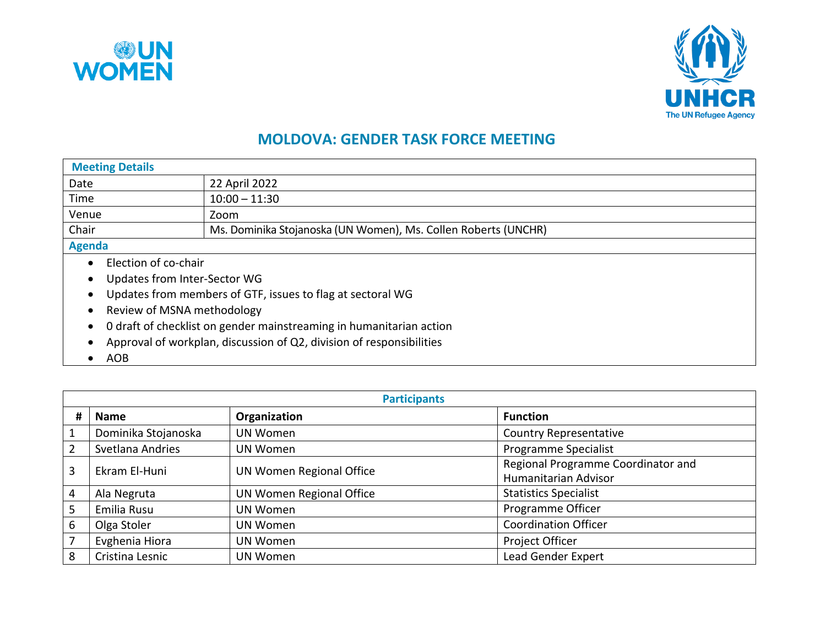



## **MOLDOVA: GENDER TASK FORCE MEETING**

| <b>Meeting Details</b>                                     |                                                                      |  |  |
|------------------------------------------------------------|----------------------------------------------------------------------|--|--|
| Date                                                       | 22 April 2022                                                        |  |  |
| Time                                                       | $10:00 - 11:30$                                                      |  |  |
| Venue                                                      | Zoom                                                                 |  |  |
| Chair                                                      | Ms. Dominika Stojanoska (UN Women), Ms. Collen Roberts (UNCHR)       |  |  |
| <b>Agenda</b>                                              |                                                                      |  |  |
|                                                            | Election of co-chair                                                 |  |  |
| Updates from Inter-Sector WG                               |                                                                      |  |  |
| Updates from members of GTF, issues to flag at sectoral WG |                                                                      |  |  |
|                                                            | Review of MSNA methodology                                           |  |  |
|                                                            | 0 draft of checklist on gender mainstreaming in humanitarian action  |  |  |
|                                                            | Approval of workplan, discussion of Q2, division of responsibilities |  |  |
| <b>AOB</b>                                                 |                                                                      |  |  |

|                | <b>Participants</b> |                          |                                                            |  |
|----------------|---------------------|--------------------------|------------------------------------------------------------|--|
| #              | <b>Name</b>         | Organization             | <b>Function</b>                                            |  |
|                | Dominika Stojanoska | UN Women                 | <b>Country Representative</b>                              |  |
| $\overline{2}$ | Svetlana Andries    | UN Women                 | <b>Programme Specialist</b>                                |  |
| 3              | Ekram El-Huni       | UN Women Regional Office | Regional Programme Coordinator and<br>Humanitarian Advisor |  |
| 4              | Ala Negruta         | UN Women Regional Office | <b>Statistics Specialist</b>                               |  |
| 5              | Emilia Rusu         | UN Women                 | Programme Officer                                          |  |
| 6              | Olga Stoler         | UN Women                 | <b>Coordination Officer</b>                                |  |
| $\overline{7}$ | Evghenia Hiora      | UN Women                 | Project Officer                                            |  |
| 8              | Cristina Lesnic     | UN Women                 | Lead Gender Expert                                         |  |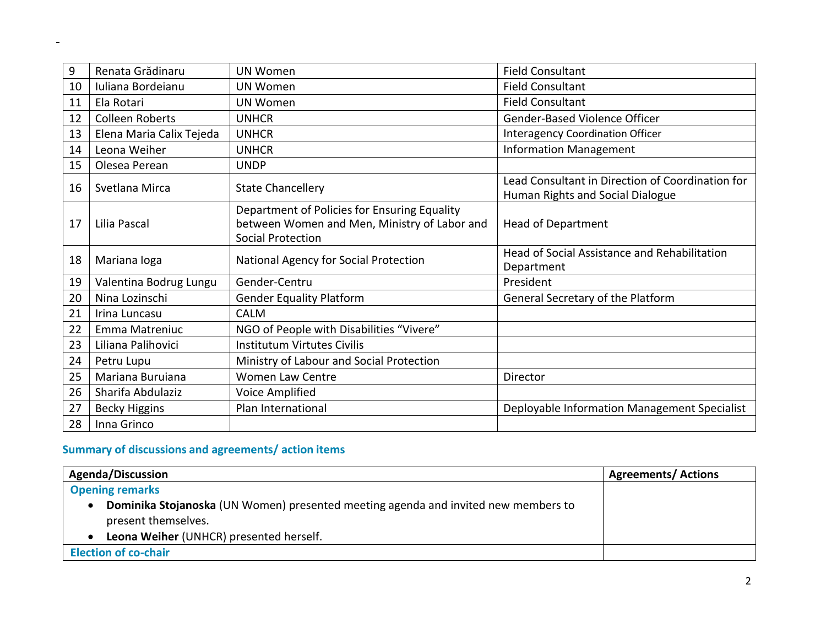| 9  | Renata Grădinaru         | <b>UN Women</b>                                                                                                          | <b>Field Consultant</b>                                                              |
|----|--------------------------|--------------------------------------------------------------------------------------------------------------------------|--------------------------------------------------------------------------------------|
| 10 | Iuliana Bordeianu        | <b>UN Women</b>                                                                                                          | <b>Field Consultant</b>                                                              |
| 11 | Ela Rotari               | <b>UN Women</b>                                                                                                          | <b>Field Consultant</b>                                                              |
| 12 | <b>Colleen Roberts</b>   | <b>UNHCR</b>                                                                                                             | Gender-Based Violence Officer                                                        |
| 13 | Elena Maria Calix Tejeda | <b>UNHCR</b>                                                                                                             | <b>Interagency Coordination Officer</b>                                              |
| 14 | Leona Weiher             | <b>UNHCR</b>                                                                                                             | <b>Information Management</b>                                                        |
| 15 | Olesea Perean            | <b>UNDP</b>                                                                                                              |                                                                                      |
| 16 | Svetlana Mirca           | <b>State Chancellery</b>                                                                                                 | Lead Consultant in Direction of Coordination for<br>Human Rights and Social Dialogue |
| 17 | Lilia Pascal             | Department of Policies for Ensuring Equality<br>between Women and Men, Ministry of Labor and<br><b>Social Protection</b> | <b>Head of Department</b>                                                            |
| 18 | Mariana loga             | National Agency for Social Protection                                                                                    | Head of Social Assistance and Rehabilitation<br>Department                           |
| 19 | Valentina Bodrug Lungu   | Gender-Centru                                                                                                            | President                                                                            |
| 20 | Nina Lozinschi           | <b>Gender Equality Platform</b>                                                                                          | General Secretary of the Platform                                                    |
| 21 | Irina Luncasu            | <b>CALM</b>                                                                                                              |                                                                                      |
| 22 | Emma Matreniuc           | NGO of People with Disabilities "Vivere"                                                                                 |                                                                                      |
| 23 | Liliana Palihovici       | <b>Institutum Virtutes Civilis</b>                                                                                       |                                                                                      |
| 24 | Petru Lupu               | Ministry of Labour and Social Protection                                                                                 |                                                                                      |
| 25 | Mariana Buruiana         | Women Law Centre                                                                                                         | Director                                                                             |
| 26 | Sharifa Abdulaziz        | Voice Amplified                                                                                                          |                                                                                      |
| 27 | <b>Becky Higgins</b>     | Plan International                                                                                                       | Deployable Information Management Specialist                                         |
| 28 | Inna Grinco              |                                                                                                                          |                                                                                      |

## **Summary of discussions and agreements/ action items**

 $\blacksquare$ 

| <b>Agenda/Discussion</b>                                                           | <b>Agreements/ Actions</b> |
|------------------------------------------------------------------------------------|----------------------------|
| <b>Opening remarks</b>                                                             |                            |
| Dominika Stojanoska (UN Women) presented meeting agenda and invited new members to |                            |
| present themselves.                                                                |                            |
| Leona Weiher (UNHCR) presented herself.                                            |                            |
| <b>Election of co-chair</b>                                                        |                            |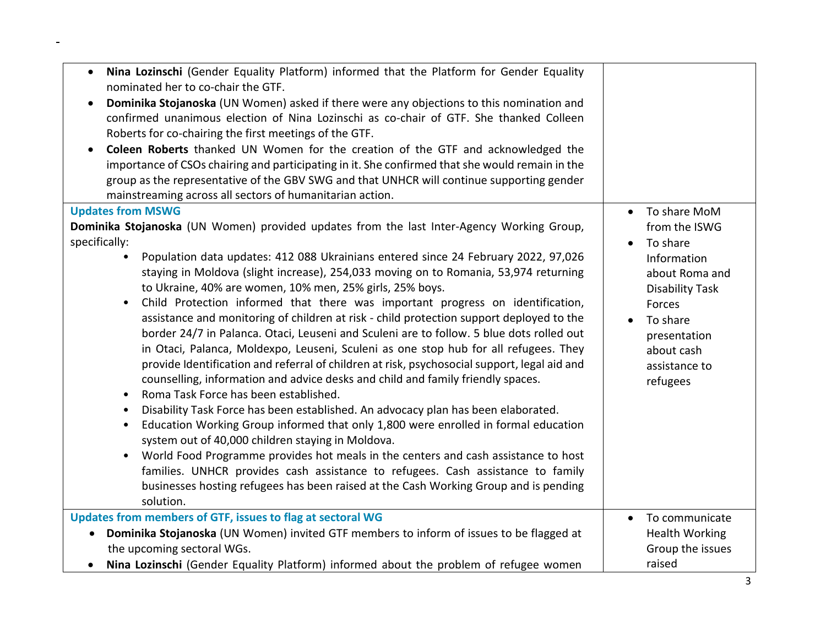| Nina Lozinschi (Gender Equality Platform) informed that the Platform for Gender Equality<br>$\bullet$<br>nominated her to co-chair the GTF.<br>Dominika Stojanoska (UN Women) asked if there were any objections to this nomination and<br>confirmed unanimous election of Nina Lozinschi as co-chair of GTF. She thanked Colleen<br>Roberts for co-chairing the first meetings of the GTF.<br>Coleen Roberts thanked UN Women for the creation of the GTF and acknowledged the<br>importance of CSOs chairing and participating in it. She confirmed that she would remain in the<br>group as the representative of the GBV SWG and that UNHCR will continue supporting gender<br>mainstreaming across all sectors of humanitarian action.                                                                                                                                                                                                                                                                                                                                                                                                                                                                                                                                                                                                                                                                                                                                                                                                           |                                                                                                                                                                                         |
|-------------------------------------------------------------------------------------------------------------------------------------------------------------------------------------------------------------------------------------------------------------------------------------------------------------------------------------------------------------------------------------------------------------------------------------------------------------------------------------------------------------------------------------------------------------------------------------------------------------------------------------------------------------------------------------------------------------------------------------------------------------------------------------------------------------------------------------------------------------------------------------------------------------------------------------------------------------------------------------------------------------------------------------------------------------------------------------------------------------------------------------------------------------------------------------------------------------------------------------------------------------------------------------------------------------------------------------------------------------------------------------------------------------------------------------------------------------------------------------------------------------------------------------------------------|-----------------------------------------------------------------------------------------------------------------------------------------------------------------------------------------|
| <b>Updates from MSWG</b><br>Dominika Stojanoska (UN Women) provided updates from the last Inter-Agency Working Group,<br>specifically:<br>Population data updates: 412 088 Ukrainians entered since 24 February 2022, 97,026<br>staying in Moldova (slight increase), 254,033 moving on to Romania, 53,974 returning<br>to Ukraine, 40% are women, 10% men, 25% girls, 25% boys.<br>Child Protection informed that there was important progress on identification,<br>$\bullet$<br>assistance and monitoring of children at risk - child protection support deployed to the<br>border 24/7 in Palanca. Otaci, Leuseni and Sculeni are to follow. 5 blue dots rolled out<br>in Otaci, Palanca, Moldexpo, Leuseni, Sculeni as one stop hub for all refugees. They<br>provide Identification and referral of children at risk, psychosocial support, legal aid and<br>counselling, information and advice desks and child and family friendly spaces.<br>Roma Task Force has been established.<br>$\bullet$<br>Disability Task Force has been established. An advocacy plan has been elaborated.<br>٠<br>Education Working Group informed that only 1,800 were enrolled in formal education<br>$\bullet$<br>system out of 40,000 children staying in Moldova.<br>World Food Programme provides hot meals in the centers and cash assistance to host<br>$\bullet$<br>families. UNHCR provides cash assistance to refugees. Cash assistance to family<br>businesses hosting refugees has been raised at the Cash Working Group and is pending<br>solution. | • To share MoM<br>from the ISWG<br>To share<br>Information<br>about Roma and<br><b>Disability Task</b><br>Forces<br>To share<br>presentation<br>about cash<br>assistance to<br>refugees |
| Updates from members of GTF, issues to flag at sectoral WG<br>Dominika Stojanoska (UN Women) invited GTF members to inform of issues to be flagged at<br>$\bullet$<br>the upcoming sectoral WGs.<br>Nina Lozinschi (Gender Equality Platform) informed about the problem of refugee women                                                                                                                                                                                                                                                                                                                                                                                                                                                                                                                                                                                                                                                                                                                                                                                                                                                                                                                                                                                                                                                                                                                                                                                                                                                             | To communicate<br>$\bullet$<br><b>Health Working</b><br>Group the issues<br>raised                                                                                                      |

 $\blacksquare$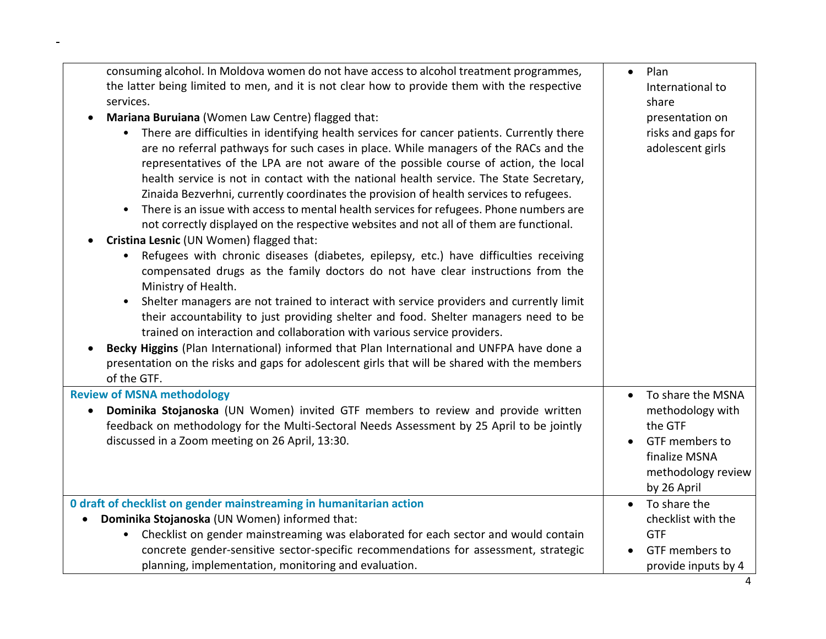| consuming alcohol. In Moldova women do not have access to alcohol treatment programmes,<br>the latter being limited to men, and it is not clear how to provide them with the respective<br>services.<br>Mariana Buruiana (Women Law Centre) flagged that:<br>There are difficulties in identifying health services for cancer patients. Currently there<br>are no referral pathways for such cases in place. While managers of the RACs and the<br>representatives of the LPA are not aware of the possible course of action, the local<br>health service is not in contact with the national health service. The State Secretary,<br>Zinaida Bezverhni, currently coordinates the provision of health services to refugees.<br>There is an issue with access to mental health services for refugees. Phone numbers are<br>not correctly displayed on the respective websites and not all of them are functional.<br>Cristina Lesnic (UN Women) flagged that:<br>Refugees with chronic diseases (diabetes, epilepsy, etc.) have difficulties receiving<br>٠<br>compensated drugs as the family doctors do not have clear instructions from the<br>Ministry of Health.<br>Shelter managers are not trained to interact with service providers and currently limit<br>$\bullet$<br>their accountability to just providing shelter and food. Shelter managers need to be<br>trained on interaction and collaboration with various service providers.<br>Becky Higgins (Plan International) informed that Plan International and UNFPA have done a<br>presentation on the risks and gaps for adolescent girls that will be shared with the members<br>of the GTF. | Plan<br>$\bullet$<br>International to<br>share<br>presentation on<br>risks and gaps for<br>adolescent girls                                        |
|---------------------------------------------------------------------------------------------------------------------------------------------------------------------------------------------------------------------------------------------------------------------------------------------------------------------------------------------------------------------------------------------------------------------------------------------------------------------------------------------------------------------------------------------------------------------------------------------------------------------------------------------------------------------------------------------------------------------------------------------------------------------------------------------------------------------------------------------------------------------------------------------------------------------------------------------------------------------------------------------------------------------------------------------------------------------------------------------------------------------------------------------------------------------------------------------------------------------------------------------------------------------------------------------------------------------------------------------------------------------------------------------------------------------------------------------------------------------------------------------------------------------------------------------------------------------------------------------------------------------------------------------------------------|----------------------------------------------------------------------------------------------------------------------------------------------------|
| <b>Review of MSNA methodology</b><br>Dominika Stojanoska (UN Women) invited GTF members to review and provide written<br>feedback on methodology for the Multi-Sectoral Needs Assessment by 25 April to be jointly<br>discussed in a Zoom meeting on 26 April, 13:30.                                                                                                                                                                                                                                                                                                                                                                                                                                                                                                                                                                                                                                                                                                                                                                                                                                                                                                                                                                                                                                                                                                                                                                                                                                                                                                                                                                                         | To share the MSNA<br>$\bullet$<br>methodology with<br>the GTF<br>GTF members to<br>$\bullet$<br>finalize MSNA<br>methodology review<br>by 26 April |
| 0 draft of checklist on gender mainstreaming in humanitarian action<br>Dominika Stojanoska (UN Women) informed that:<br>Checklist on gender mainstreaming was elaborated for each sector and would contain<br>concrete gender-sensitive sector-specific recommendations for assessment, strategic<br>planning, implementation, monitoring and evaluation.                                                                                                                                                                                                                                                                                                                                                                                                                                                                                                                                                                                                                                                                                                                                                                                                                                                                                                                                                                                                                                                                                                                                                                                                                                                                                                     | To share the<br>$\bullet$<br>checklist with the<br><b>GTF</b><br>GTF members to<br>provide inputs by 4                                             |

 $\blacksquare$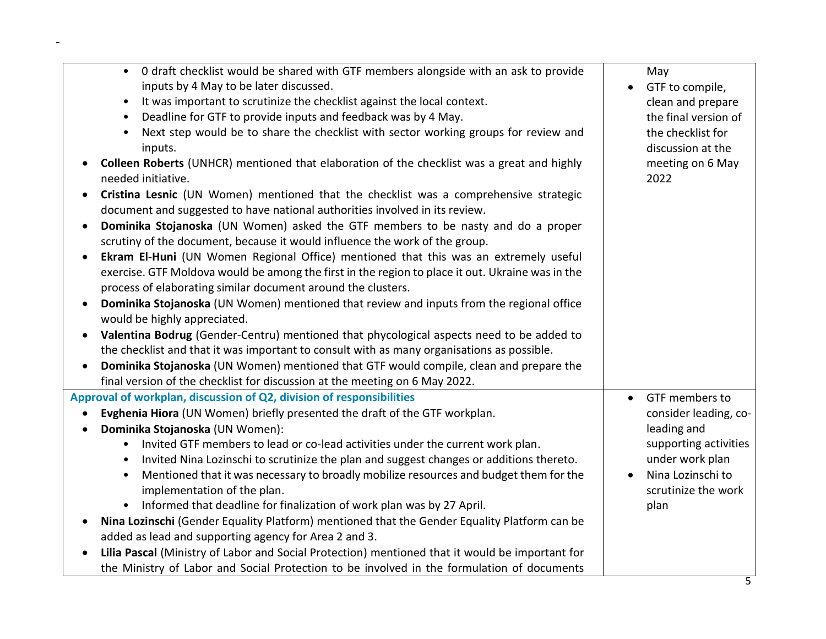| Deadline for GTF to provide inputs and feedback was by 4 May.<br>the final version of<br>$\bullet$<br>Next step would be to share the checklist with sector working groups for review and<br>the checklist for<br>$\bullet$                              |
|----------------------------------------------------------------------------------------------------------------------------------------------------------------------------------------------------------------------------------------------------------|
|                                                                                                                                                                                                                                                          |
| inputs.<br>discussion at the                                                                                                                                                                                                                             |
| Colleen Roberts (UNHCR) mentioned that elaboration of the checklist was a great and highly<br>meeting on 6 May<br>needed initiative.<br>2022                                                                                                             |
| Cristina Lesnic (UN Women) mentioned that the checklist was a comprehensive strategic<br>document and suggested to have national authorities involved in its review.                                                                                     |
| Dominika Stojanoska (UN Women) asked the GTF members to be nasty and do a proper<br>scrutiny of the document, because it would influence the work of the group.                                                                                          |
| Ekram El-Huni (UN Women Regional Office) mentioned that this was an extremely useful<br>exercise. GTF Moldova would be among the first in the region to place it out. Ukraine was in the<br>process of elaborating similar document around the clusters. |
| Dominika Stojanoska (UN Women) mentioned that review and inputs from the regional office<br>would be highly appreciated.                                                                                                                                 |
| Valentina Bodrug (Gender-Centru) mentioned that phycological aspects need to be added to<br>the checklist and that it was important to consult with as many organisations as possible.                                                                   |
| Dominika Stojanoska (UN Women) mentioned that GTF would compile, clean and prepare the<br>final version of the checklist for discussion at the meeting on 6 May 2022.                                                                                    |
| Approval of workplan, discussion of Q2, division of responsibilities<br>GTF members to<br>$\bullet$                                                                                                                                                      |
| Evghenia Hiora (UN Women) briefly presented the draft of the GTF workplan.<br>consider leading, co-<br>$\bullet$                                                                                                                                         |
| leading and<br>Dominika Stojanoska (UN Women):                                                                                                                                                                                                           |
| Invited GTF members to lead or co-lead activities under the current work plan.<br>supporting activities<br>$\bullet$                                                                                                                                     |
| Invited Nina Lozinschi to scrutinize the plan and suggest changes or additions thereto.<br>under work plan<br>$\bullet$                                                                                                                                  |
| Nina Lozinschi to<br>Mentioned that it was necessary to broadly mobilize resources and budget them for the<br>$\bullet$<br>scrutinize the work<br>implementation of the plan.                                                                            |
| Informed that deadline for finalization of work plan was by 27 April.<br>plan<br>$\bullet$                                                                                                                                                               |
| Nina Lozinschi (Gender Equality Platform) mentioned that the Gender Equality Platform can be                                                                                                                                                             |
| added as lead and supporting agency for Area 2 and 3.                                                                                                                                                                                                    |
| Lilia Pascal (Ministry of Labor and Social Protection) mentioned that it would be important for<br>the Ministry of Labor and Social Protection to be involved in the formulation of documents                                                            |